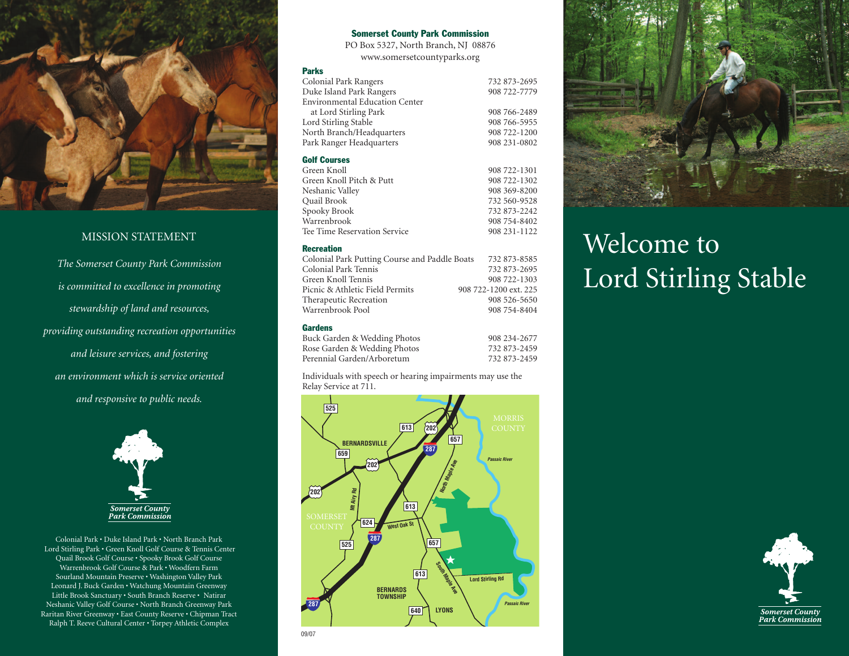

## MISSION STATEMENT

*The Somerset County Park Commission is committed to excellence in promoting stewardship of land and resources, providing outstanding recreation opportunities and leisure services, and fostering an environment which is service oriented and responsive to public needs.*



Colonial Park • Duke Island Park • North Branch Park Lord Stirling Park • Green Knoll Golf Course & Tennis Center Quail Brook Golf Course • Spooky Brook Golf Course Warrenbrook Golf Course & Park • Woodfern Farm Sourland Mountain Preserve • Washington Valley Park Leonard J. Buck Garden • Watchung Mountain Greenway Little Brook Sanctuary • South Branch Reserve • Natirar Neshanic Valley Golf Course • North Branch Greenway Park Raritan River Greenway • East County Reserve • Chipman Tract Ralph T. Reeve Cultural Center • Torpey Athletic Complex

### **Somerset County Park Commission**

PO Box 5327, North Branch, NJ 08876 www.somersetcountyparks.org

#### **Parks**

| Colonial Park Rangers                 | 732 873-2695 |
|---------------------------------------|--------------|
| Duke Island Park Rangers              | 908 722-7779 |
| <b>Environmental Education Center</b> |              |
| at Lord Stirling Park                 | 908 766-2489 |
| Lord Stirling Stable                  | 908 766-5955 |
| North Branch/Headquarters             | 908 722-1200 |
| Park Ranger Headquarters              | 908 231-0802 |
|                                       |              |

### **Golf Courses**

| Green Knoll                  | 908 722-1301 |
|------------------------------|--------------|
| Green Knoll Pitch & Putt     | 908 722-1302 |
| Neshanic Valley              | 908 369-8200 |
| Ouail Brook                  | 732 560-9528 |
| Spooky Brook                 | 732 873-2242 |
| Warrenbrook                  | 908 754-8402 |
| Tee Time Reservation Service | 908 231-1122 |
|                              |              |

### **Recreation**

| Colonial Park Putting Course and Paddle Boats | 732 873-8585          |
|-----------------------------------------------|-----------------------|
| Colonial Park Tennis                          | 732 873-2695          |
| Green Knoll Tennis                            | 908 722-1303          |
| Picnic & Athletic Field Permits               | 908 722-1200 ext. 225 |
| Therapeutic Recreation                        | 908 526-5650          |
| Warrenbrook Pool                              | 908 754-8404          |
|                                               |                       |

### **Gardens**

| 908 234-2677 |
|--------------|
| 732 873-2459 |
| 732 873-2459 |
|              |

Individuals with speech or hearing impairments may use the Relay Service at 711.





# Welcome to Lord Stirling Stable